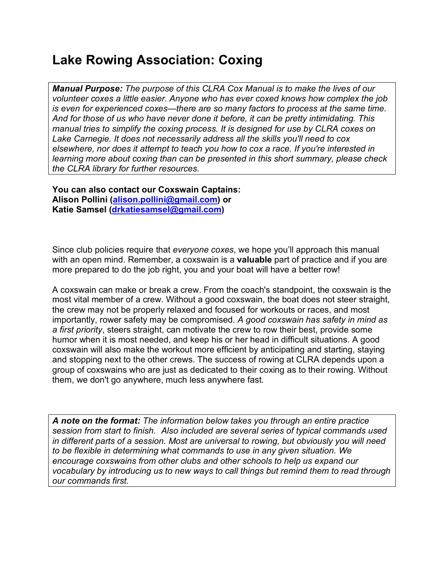# **Lake Rowing Association: Coxing**

*Manual Purpose: The purpose of this CLRA Cox Manual is to make the lives of our volunteer coxes a little easier. Anyone who has ever coxed knows how complex the job is even for experienced coxes—there are so many factors to process at the same time. And for those of us who have never done it before, it can be pretty intimidating. This manual tries to simplify the coxing process. It is designed for use by CLRA coxes on Lake Carnegie. It does not necessarily address all the skills you'll need to cox elsewhere, nor does it attempt to teach you how to cox a race. If you're interested in learning more about coxing than can be presented in this short summary, please check the CLRA library for further resources.* 

**You can also contact our Coxswain Captains: Alison Pollini (alison.pollini@gmail.com) or Katie Samsel (drkatiesamsel@gmail.com)**

Since club policies require that *everyone coxes*, we hope you'll approach this manual with an open mind. Remember, a coxswain is a **valuable** part of practice and if you are more prepared to do the job right, you and your boat will have a better row!

A coxswain can make or break a crew. From the coach's standpoint, the coxswain is the most vital member of a crew. Without a good coxswain, the boat does not steer straight, the crew may not be properly relaxed and focused for workouts or races, and most importantly, rower safety may be compromised. *A good coxswain has safety in mind as a first priority*, steers straight, can motivate the crew to row their best, provide some humor when it is most needed, and keep his or her head in difficult situations. A good coxswain will also make the workout more efficient by anticipating and starting, staying and stopping next to the other crews. The success of rowing at CLRA depends upon a group of coxswains who are just as dedicated to their coxing as to their rowing. Without them, we don't go anywhere, much less anywhere fast.

*A note on the format: The information below takes you through an entire practice session from start to finish. Also included are several series of typical commands used in different parts of a session. Most are universal to rowing, but obviously you will need to be flexible in determining what commands to use in any given situation. We encourage coxswains from other clubs and other schools to help us expand our vocabulary by introducing us to new ways to call things but remind them to read through our commands first.*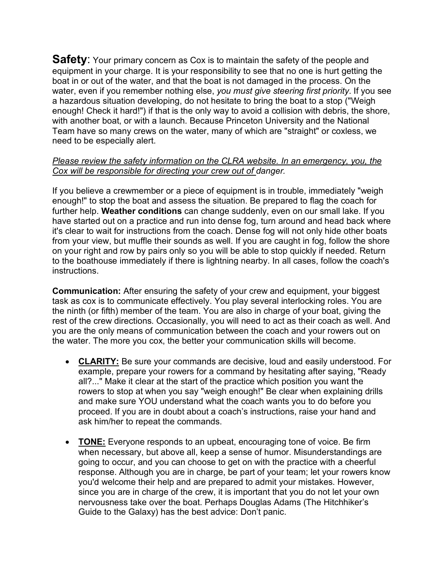**Safety:** Your primary concern as Cox is to maintain the safety of the people and equipment in your charge. It is your responsibility to see that no one is hurt getting the boat in or out of the water, and that the boat is not damaged in the process. On the water, even if you remember nothing else, *you must give steering first priority*. If you see a hazardous situation developing, do not hesitate to bring the boat to a stop ("Weigh enough! Check it hard!") if that is the only way to avoid a collision with debris, the shore, with another boat, or with a launch. Because Princeton University and the National Team have so many crews on the water, many of which are "straight" or coxless, we need to be especially alert.

### *Please review the safety information on the CLRA website. In an emergency, you, the Cox will be responsible for directing your crew out of danger.*

If you believe a crewmember or a piece of equipment is in trouble, immediately "weigh enough!" to stop the boat and assess the situation. Be prepared to flag the coach for further help. **Weather conditions** can change suddenly, even on our small lake. If you have started out on a practice and run into dense fog, turn around and head back where it's clear to wait for instructions from the coach. Dense fog will not only hide other boats from your view, but muffle their sounds as well. If you are caught in fog, follow the shore on your right and row by pairs only so you will be able to stop quickly if needed. Return to the boathouse immediately if there is lightning nearby. In all cases, follow the coach's instructions.

**Communication:** After ensuring the safety of your crew and equipment, your biggest task as cox is to communicate effectively. You play several interlocking roles. You are the ninth (or fifth) member of the team. You are also in charge of your boat, giving the rest of the crew directions. Occasionally, you will need to act as their coach as well. And you are the only means of communication between the coach and your rowers out on the water. The more you cox, the better your communication skills will become.

- **CLARITY:** Be sure your commands are decisive, loud and easily understood. For example, prepare your rowers for a command by hesitating after saying, "Ready all?..." Make it clear at the start of the practice which position you want the rowers to stop at when you say "weigh enough!" Be clear when explaining drills and make sure YOU understand what the coach wants you to do before you proceed. If you are in doubt about a coach's instructions, raise your hand and ask him/her to repeat the commands.
- **TONE:** Everyone responds to an upbeat, encouraging tone of voice. Be firm when necessary, but above all, keep a sense of humor. Misunderstandings are going to occur, and you can choose to get on with the practice with a cheerful response. Although you are in charge, be part of your team; let your rowers know you'd welcome their help and are prepared to admit your mistakes. However, since you are in charge of the crew, it is important that you do not let your own nervousness take over the boat. Perhaps Douglas Adams (The Hitchhiker's Guide to the Galaxy) has the best advice: Don't panic.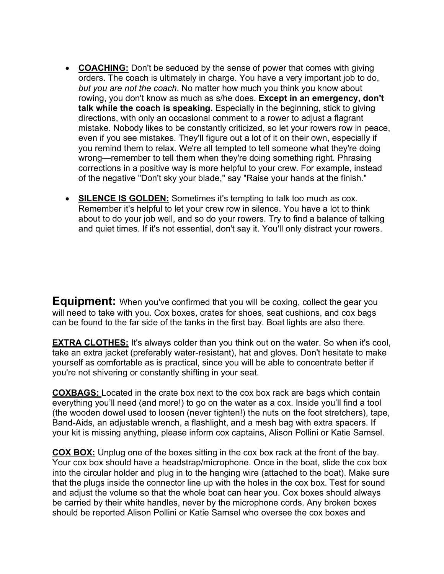- **COACHING:** Don't be seduced by the sense of power that comes with giving orders. The coach is ultimately in charge. You have a very important job to do, *but you are not the coach*. No matter how much you think you know about rowing, you don't know as much as s/he does. **Except in an emergency, don't talk while the coach is speaking.** Especially in the beginning, stick to giving directions, with only an occasional comment to a rower to adjust a flagrant mistake. Nobody likes to be constantly criticized, so let your rowers row in peace, even if you see mistakes. They'll figure out a lot of it on their own, especially if you remind them to relax. We're all tempted to tell someone what they're doing wrong—remember to tell them when they're doing something right. Phrasing corrections in a positive way is more helpful to your crew. For example, instead of the negative "Don't sky your blade," say "Raise your hands at the finish."
- **SILENCE IS GOLDEN:** Sometimes it's tempting to talk too much as cox. Remember it's helpful to let your crew row in silence. You have a lot to think about to do your job well, and so do your rowers. Try to find a balance of talking and quiet times. If it's not essential, don't say it. You'll only distract your rowers.

**Equipment:** When you've confirmed that you will be coxing, collect the gear you will need to take with you. Cox boxes, crates for shoes, seat cushions, and cox bags can be found to the far side of the tanks in the first bay. Boat lights are also there.

**EXTRA CLOTHES:** It's always colder than you think out on the water. So when it's cool, take an extra jacket (preferably water-resistant), hat and gloves. Don't hesitate to make yourself as comfortable as is practical, since you will be able to concentrate better if you're not shivering or constantly shifting in your seat.

**COXBAGS:** Located in the crate box next to the cox box rack are bags which contain everything you'll need (and more!) to go on the water as a cox. Inside you'll find a tool (the wooden dowel used to loosen (never tighten!) the nuts on the foot stretchers), tape, Band-Aids, an adjustable wrench, a flashlight, and a mesh bag with extra spacers. If your kit is missing anything, please inform cox captains, Alison Pollini or Katie Samsel.

**COX BOX:** Unplug one of the boxes sitting in the cox box rack at the front of the bay. Your cox box should have a headstrap/microphone. Once in the boat, slide the cox box into the circular holder and plug in to the hanging wire (attached to the boat). Make sure that the plugs inside the connector line up with the holes in the cox box. Test for sound and adjust the volume so that the whole boat can hear you. Cox boxes should always be carried by their white handles, never by the microphone cords. Any broken boxes should be reported Alison Pollini or Katie Samsel who oversee the cox boxes and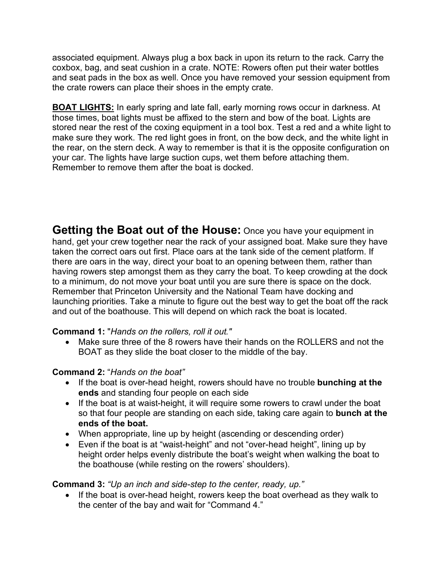associated equipment. Always plug a box back in upon its return to the rack. Carry the coxbox, bag, and seat cushion in a crate. NOTE: Rowers often put their water bottles and seat pads in the box as well. Once you have removed your session equipment from the crate rowers can place their shoes in the empty crate.

**BOAT LIGHTS:** In early spring and late fall, early morning rows occur in darkness. At those times, boat lights must be affixed to the stern and bow of the boat. Lights are stored near the rest of the coxing equipment in a tool box. Test a red and a white light to make sure they work. The red light goes in front, on the bow deck, and the white light in the rear, on the stern deck. A way to remember is that it is the opposite configuration on your car. The lights have large suction cups, wet them before attaching them. Remember to remove them after the boat is docked.

**Getting the Boat out of the House:** Once you have your equipment in hand, get your crew together near the rack of your assigned boat. Make sure they have taken the correct oars out first. Place oars at the tank side of the cement platform. If there are oars in the way, direct your boat to an opening between them, rather than having rowers step amongst them as they carry the boat. To keep crowding at the dock to a minimum, do not move your boat until you are sure there is space on the dock. Remember that Princeton University and the National Team have docking and launching priorities. Take a minute to figure out the best way to get the boat off the rack and out of the boathouse. This will depend on which rack the boat is located.

### **Command 1:** "*Hands on the rollers, roll it out."*

• Make sure three of the 8 rowers have their hands on the ROLLERS and not the BOAT as they slide the boat closer to the middle of the bay.

## **Command 2:** "*Hands on the boat"*

- If the boat is over-head height, rowers should have no trouble **bunching at the ends** and standing four people on each side
- If the boat is at waist-height, it will require some rowers to crawl under the boat so that four people are standing on each side, taking care again to **bunch at the ends of the boat.**
- When appropriate, line up by height (ascending or descending order)
- Even if the boat is at "waist-height" and not "over-head height", lining up by height order helps evenly distribute the boat's weight when walking the boat to the boathouse (while resting on the rowers' shoulders).

## **Command 3:** *"Up an inch and side-step to the center, ready, up."*

• If the boat is over-head height, rowers keep the boat overhead as they walk to the center of the bay and wait for "Command 4."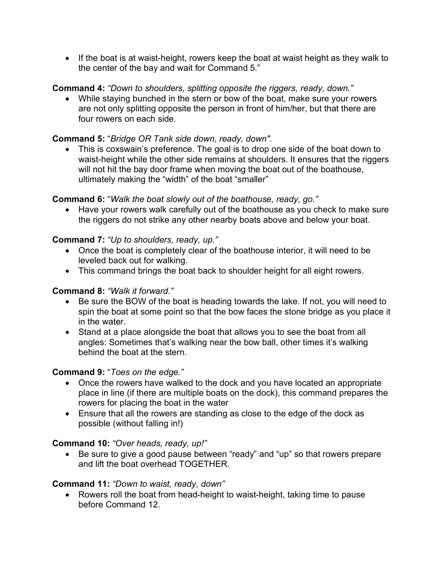• If the boat is at waist-height, rowers keep the boat at waist height as they walk to the center of the bay and wait for Command 5."

## **Command 4:** *"Down to shoulders, splitting opposite the riggers, ready, down."*

• While staying bunched in the stern or bow of the boat, make sure your rowers are not only splitting opposite the person in front of him/her, but that there are four rowers on each side.

### **Command 5:** "*Bridge OR Tank side down, ready, down".*

• This is coxswain's preference. The goal is to drop one side of the boat down to waist-height while the other side remains at shoulders. It ensures that the riggers will not hit the bay door frame when moving the boat out of the boathouse, ultimately making the "width" of the boat "smaller"

### **Command 6:** "*Walk the boat slowly out of the boathouse, ready, go."*

• Have your rowers walk carefully out of the boathouse as you check to make sure the riggers do not strike any other nearby boats above and below your boat.

### **Command 7:** *"Up to shoulders, ready, up."*

- Once the boat is completely clear of the boathouse interior, it will need to be leveled back out for walking.
- This command brings the boat back to shoulder height for all eight rowers.

### **Command 8:** *"Walk it forward."*

- Be sure the BOW of the boat is heading towards the lake. If not, you will need to spin the boat at some point so that the bow faces the stone bridge as you place it in the water.
- Stand at a place alongside the boat that allows you to see the boat from all angles: Sometimes that's walking near the bow ball, other times it's walking behind the boat at the stern.

### **Command 9:** "*Toes on the edge."*

- Once the rowers have walked to the dock and you have located an appropriate place in line (if there are multiple boats on the dock), this command prepares the rowers for placing the boat in the water
- Ensure that all the rowers are standing as close to the edge of the dock as possible (without falling in!)

### **Command 10:** *"Over heads, ready, up!"*

• Be sure to give a good pause between "ready" and "up" so that rowers prepare and lift the boat overhead TOGETHER.

### **Command 11:** *"Down to waist, ready, down"*

• Rowers roll the boat from head-height to waist-height, taking time to pause before Command 12.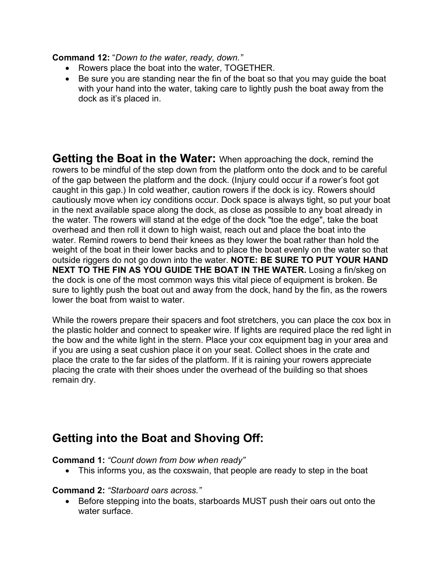**Command 12:** "*Down to the water, ready, down."*

- Rowers place the boat into the water, TOGETHER.
- Be sure you are standing near the fin of the boat so that you may guide the boat with your hand into the water, taking care to lightly push the boat away from the dock as it's placed in.

**Getting the Boat in the Water:** When approaching the dock, remind the rowers to be mindful of the step down from the platform onto the dock and to be careful of the gap between the platform and the dock. (Injury could occur if a rower's foot got caught in this gap.) In cold weather, caution rowers if the dock is icy. Rowers should cautiously move when icy conditions occur. Dock space is always tight, so put your boat in the next available space along the dock, as close as possible to any boat already in the water. The rowers will stand at the edge of the dock "toe the edge", take the boat overhead and then roll it down to high waist, reach out and place the boat into the water. Remind rowers to bend their knees as they lower the boat rather than hold the weight of the boat in their lower backs and to place the boat evenly on the water so that outside riggers do not go down into the water. **NOTE: BE SURE TO PUT YOUR HAND NEXT TO THE FIN AS YOU GUIDE THE BOAT IN THE WATER.** Losing a fin/skeg on the dock is one of the most common ways this vital piece of equipment is broken. Be sure to lightly push the boat out and away from the dock, hand by the fin, as the rowers lower the boat from waist to water.

While the rowers prepare their spacers and foot stretchers, you can place the cox box in the plastic holder and connect to speaker wire. If lights are required place the red light in the bow and the white light in the stern. Place your cox equipment bag in your area and if you are using a seat cushion place it on your seat. Collect shoes in the crate and place the crate to the far sides of the platform. If it is raining your rowers appreciate placing the crate with their shoes under the overhead of the building so that shoes remain dry.

## **Getting into the Boat and Shoving Off:**

**Command 1:** *"Count down from bow when ready"*

• This informs you, as the coxswain, that people are ready to step in the boat

## **Command 2:** *"Starboard oars across."*

• Before stepping into the boats, starboards MUST push their oars out onto the water surface.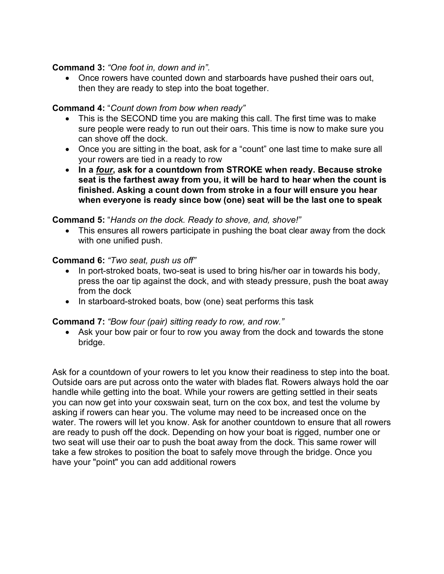### **Command 3:** *"One foot in, down and in".*

• Once rowers have counted down and starboards have pushed their oars out, then they are ready to step into the boat together.

## **Command 4:** "*Count down from bow when ready"*

- This is the SECOND time you are making this call. The first time was to make sure people were ready to run out their oars. This time is now to make sure you can shove off the dock.
- Once you are sitting in the boat, ask for a "count" one last time to make sure all your rowers are tied in a ready to row
- **In a** *four***, ask for a countdown from STROKE when ready. Because stroke seat is the farthest away from you, it will be hard to hear when the count is finished. Asking a count down from stroke in a four will ensure you hear when everyone is ready since bow (one) seat will be the last one to speak**

### **Command 5:** "*Hands on the dock. Ready to shove, and, shove!"*

• This ensures all rowers participate in pushing the boat clear away from the dock with one unified push.

### **Command 6:** *"Two seat, push us off"*

- In port-stroked boats, two-seat is used to bring his/her oar in towards his body, press the oar tip against the dock, and with steady pressure, push the boat away from the dock
- In starboard-stroked boats, bow (one) seat performs this task

## **Command 7:** *"Bow four (pair) sitting ready to row, and row."*

• Ask your bow pair or four to row you away from the dock and towards the stone bridge.

Ask for a countdown of your rowers to let you know their readiness to step into the boat. Outside oars are put across onto the water with blades flat. Rowers always hold the oar handle while getting into the boat. While your rowers are getting settled in their seats you can now get into your coxswain seat, turn on the cox box, and test the volume by asking if rowers can hear you. The volume may need to be increased once on the water. The rowers will let you know. Ask for another countdown to ensure that all rowers are ready to push off the dock. Depending on how your boat is rigged, number one or two seat will use their oar to push the boat away from the dock. This same rower will take a few strokes to position the boat to safely move through the bridge. Once you have your "point" you can add additional rowers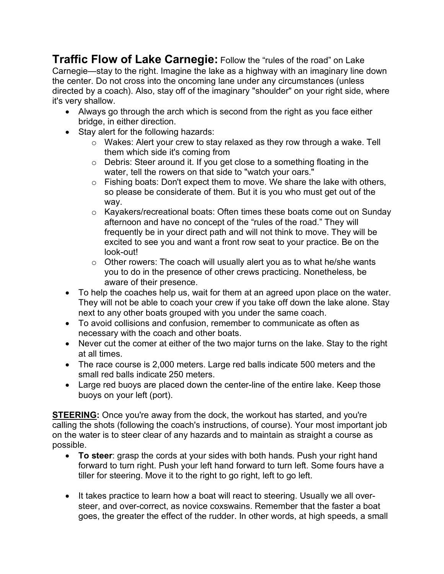**Traffic Flow of Lake Carnegie:** Follow the "rules of the road" on Lake Carnegie—stay to the right. Imagine the lake as a highway with an imaginary line down the center. Do not cross into the oncoming lane under any circumstances (unless directed by a coach). Also, stay off of the imaginary "shoulder" on your right side, where it's very shallow.

- Always go through the arch which is second from the right as you face either bridge, in either direction.
- Stay alert for the following hazards:
	- o Wakes: Alert your crew to stay relaxed as they row through a wake. Tell them which side it's coming from
	- o Debris: Steer around it. If you get close to a something floating in the water, tell the rowers on that side to "watch your oars."
	- o Fishing boats: Don't expect them to move. We share the lake with others, so please be considerate of them. But it is you who must get out of the way.
	- o Kayakers/recreational boats: Often times these boats come out on Sunday afternoon and have no concept of the "rules of the road." They will frequently be in your direct path and will not think to move. They will be excited to see you and want a front row seat to your practice. Be on the look-out!
	- o Other rowers: The coach will usually alert you as to what he/she wants you to do in the presence of other crews practicing. Nonetheless, be aware of their presence.
- To help the coaches help us, wait for them at an agreed upon place on the water. They will not be able to coach your crew if you take off down the lake alone. Stay next to any other boats grouped with you under the same coach.
- To avoid collisions and confusion, remember to communicate as often as necessary with the coach and other boats.
- Never cut the comer at either of the two major turns on the lake. Stay to the right at all times.
- The race course is 2,000 meters. Large red balls indicate 500 meters and the small red balls indicate 250 meters.
- Large red buoys are placed down the center-line of the entire lake. Keep those buoys on your left (port).

**STEERING:** Once you're away from the dock, the workout has started, and you're calling the shots (following the coach's instructions, of course). Your most important job on the water is to steer clear of any hazards and to maintain as straight a course as possible.

- **To steer**: grasp the cords at your sides with both hands. Push your right hand forward to turn right. Push your left hand forward to turn left. Some fours have a tiller for steering. Move it to the right to go right, left to go left.
- It takes practice to learn how a boat will react to steering. Usually we all oversteer, and over-correct, as novice coxswains. Remember that the faster a boat goes, the greater the effect of the rudder. In other words, at high speeds, a small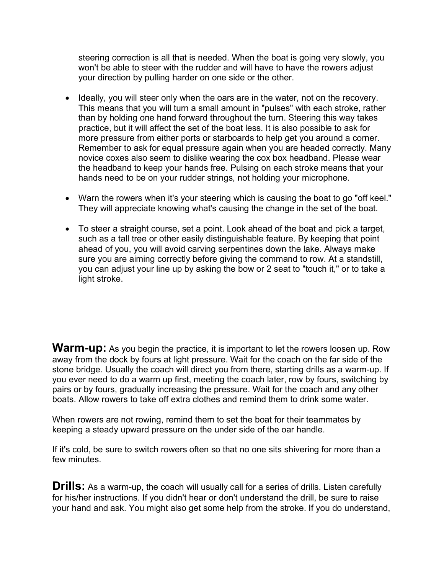steering correction is all that is needed. When the boat is going very slowly, you won't be able to steer with the rudder and will have to have the rowers adjust your direction by pulling harder on one side or the other.

- Ideally, you will steer only when the oars are in the water, not on the recovery. This means that you will turn a small amount in "pulses" with each stroke, rather than by holding one hand forward throughout the turn. Steering this way takes practice, but it will affect the set of the boat less. It is also possible to ask for more pressure from either ports or starboards to help get you around a corner. Remember to ask for equal pressure again when you are headed correctly. Many novice coxes also seem to dislike wearing the cox box headband. Please wear the headband to keep your hands free. Pulsing on each stroke means that your hands need to be on your rudder strings, not holding your microphone.
- Warn the rowers when it's your steering which is causing the boat to go "off keel." They will appreciate knowing what's causing the change in the set of the boat.
- To steer a straight course, set a point. Look ahead of the boat and pick a target, such as a tall tree or other easily distinguishable feature. By keeping that point ahead of you, you will avoid carving serpentines down the lake. Always make sure you are aiming correctly before giving the command to row. At a standstill, you can adjust your line up by asking the bow or 2 seat to "touch it," or to take a light stroke.

**Warm-up:** As you begin the practice, it is important to let the rowers loosen up. Row away from the dock by fours at light pressure. Wait for the coach on the far side of the stone bridge. Usually the coach will direct you from there, starting drills as a warm-up. If you ever need to do a warm up first, meeting the coach later, row by fours, switching by pairs or by fours, gradually increasing the pressure. Wait for the coach and any other boats. Allow rowers to take off extra clothes and remind them to drink some water.

When rowers are not rowing, remind them to set the boat for their teammates by keeping a steady upward pressure on the under side of the oar handle.

If it's cold, be sure to switch rowers often so that no one sits shivering for more than a few minutes.

**Drills:** As a warm-up, the coach will usually call for a series of drills. Listen carefully for his/her instructions. If you didn't hear or don't understand the drill, be sure to raise your hand and ask. You might also get some help from the stroke. If you do understand,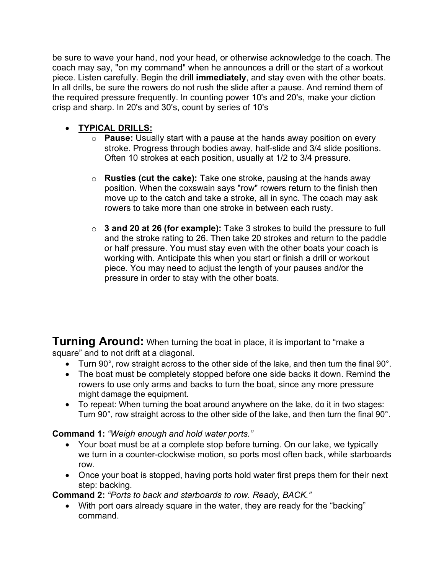be sure to wave your hand, nod your head, or otherwise acknowledge to the coach. The coach may say, "on my command" when he announces a drill or the start of a workout piece. Listen carefully. Begin the drill **immediately**, and stay even with the other boats. In all drills, be sure the rowers do not rush the slide after a pause. And remind them of the required pressure frequently. In counting power 10's and 20's, make your diction crisp and sharp. In 20's and 30's, count by series of 10's

## • **TYPICAL DRILLS:**

- o **Pause:** Usually start with a pause at the hands away position on every stroke. Progress through bodies away, half-slide and 3/4 slide positions. Often 10 strokes at each position, usually at 1/2 to 3/4 pressure.
- o **Rusties (cut the cake):** Take one stroke, pausing at the hands away position. When the coxswain says "row" rowers return to the finish then move up to the catch and take a stroke, all in sync. The coach may ask rowers to take more than one stroke in between each rusty.
- o **3 and 20 at 26 (for example):** Take 3 strokes to build the pressure to full and the stroke rating to 26. Then take 20 strokes and return to the paddle or half pressure. You must stay even with the other boats your coach is working with. Anticipate this when you start or finish a drill or workout piece. You may need to adjust the length of your pauses and/or the pressure in order to stay with the other boats.

**Turning Around:** When turning the boat in place, it is important to "make a square" and to not drift at a diagonal.

- Turn 90°, row straight across to the other side of the lake, and then turn the final 90°.
- The boat must be completely stopped before one side backs it down. Remind the rowers to use only arms and backs to turn the boat, since any more pressure might damage the equipment.
- To repeat: When turning the boat around anywhere on the lake, do it in two stages: Turn 90°, row straight across to the other side of the lake, and then turn the final 90°.

## **Command 1:** *"Weigh enough and hold water ports."*

- Your boat must be at a complete stop before turning. On our lake, we typically we turn in a counter-clockwise motion, so ports most often back, while starboards row.
- Once your boat is stopped, having ports hold water first preps them for their next step: backing.

**Command 2:** *"Ports to back and starboards to row. Ready, BACK."*

• With port oars already square in the water, they are ready for the "backing" command.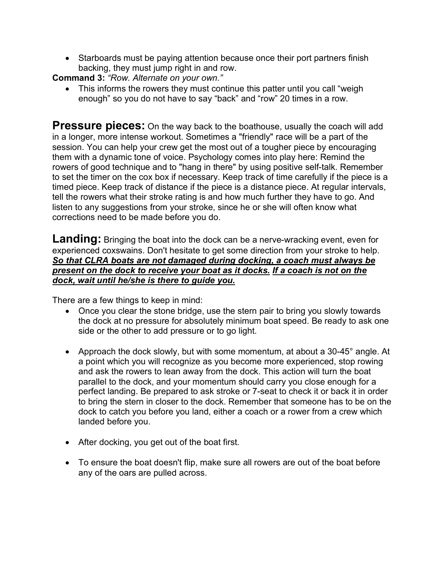• Starboards must be paying attention because once their port partners finish backing, they must jump right in and row.

**Command 3:** *"Row. Alternate on your own."*

• This informs the rowers they must continue this patter until you call "weigh enough" so you do not have to say "back" and "row" 20 times in a row.

**Pressure pieces:** On the way back to the boathouse, usually the coach will add in a longer, more intense workout. Sometimes a "friendly" race will be a part of the session. You can help your crew get the most out of a tougher piece by encouraging them with a dynamic tone of voice. Psychology comes into play here: Remind the rowers of good technique and to "hang in there" by using positive self-talk. Remember to set the timer on the cox box if necessary. Keep track of time carefully if the piece is a timed piece. Keep track of distance if the piece is a distance piece. At regular intervals, tell the rowers what their stroke rating is and how much further they have to go. And listen to any suggestions from your stroke, since he or she will often know what corrections need to be made before you do.

**Landing:** Bringing the boat into the dock can be a nerve-wracking event, even for experienced coxswains. Don't hesitate to get some direction from your stroke to help. *So that CLRA boats are not damaged during docking, a coach must always be present on the dock to receive your boat as it docks. If a coach is not on the dock, wait until he/she is there to guide you.*

There are a few things to keep in mind:

- Once you clear the stone bridge, use the stern pair to bring you slowly towards the dock at no pressure for absolutely minimum boat speed. Be ready to ask one side or the other to add pressure or to go light.
- Approach the dock slowly, but with some momentum, at about a 30-45° angle. At a point which you will recognize as you become more experienced, stop rowing and ask the rowers to lean away from the dock. This action will turn the boat parallel to the dock, and your momentum should carry you close enough for a perfect landing. Be prepared to ask stroke or 7-seat to check it or back it in order to bring the stern in closer to the dock. Remember that someone has to be on the dock to catch you before you land, either a coach or a rower from a crew which landed before you.
- After docking, you get out of the boat first.
- To ensure the boat doesn't flip, make sure all rowers are out of the boat before any of the oars are pulled across.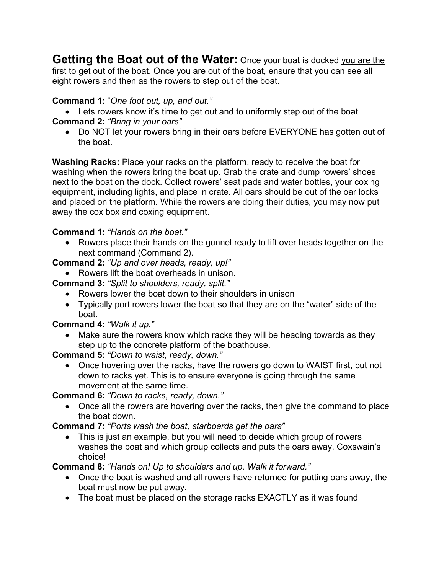**Getting the Boat out of the Water:** Once your boat is docked you are the first to get out of the boat. Once you are out of the boat, ensure that you can see all eight rowers and then as the rowers to step out of the boat.

### **Command 1:** "*One foot out, up, and out."*

• Lets rowers know it's time to get out and to uniformly step out of the boat **Command 2:** *"Bring in your oars"*

• Do NOT let your rowers bring in their oars before EVERYONE has gotten out of the boat.

**Washing Racks:** Place your racks on the platform, ready to receive the boat for washing when the rowers bring the boat up. Grab the crate and dump rowers' shoes next to the boat on the dock. Collect rowers' seat pads and water bottles, your coxing equipment, including lights, and place in crate. All oars should be out of the oar locks and placed on the platform. While the rowers are doing their duties, you may now put away the cox box and coxing equipment.

### **Command 1:** *"Hands on the boat."*

• Rowers place their hands on the gunnel ready to lift over heads together on the next command (Command 2).

**Command 2:** *"Up and over heads, ready, up!"*

• Rowers lift the boat overheads in unison.

**Command 3:** *"Split to shoulders, ready, split."*

- Rowers lower the boat down to their shoulders in unison
- Typically port rowers lower the boat so that they are on the "water" side of the boat.

## **Command 4:** *"Walk it up."*

• Make sure the rowers know which racks they will be heading towards as they step up to the concrete platform of the boathouse.

**Command 5:** *"Down to waist, ready, down."*

• Once hovering over the racks, have the rowers go down to WAIST first, but not down to racks yet. This is to ensure everyone is going through the same movement at the same time.

**Command 6:** *"Down to racks, ready, down."*

• Once all the rowers are hovering over the racks, then give the command to place the boat down.

**Command 7:** *"Ports wash the boat, starboards get the oars"*

• This is just an example, but you will need to decide which group of rowers washes the boat and which group collects and puts the oars away. Coxswain's choice!

**Command 8:** *"Hands on! Up to shoulders and up. Walk it forward."*

- Once the boat is washed and all rowers have returned for putting oars away, the boat must now be put away.
- The boat must be placed on the storage racks EXACTLY as it was found